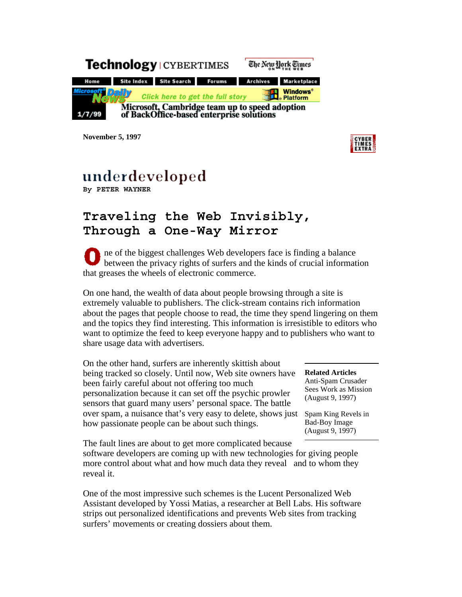

**November 5, 1997**



# underdeveloped

**By PETER WAYNER**

# **Traveling the Web Invisibly, Through a One-Way Mirror**

ne of the biggest challenges Web developers face is finding a balance between the privacy rights of surfers and the kinds of crucial information that greases the wheels of electronic commerce.

On one hand, the wealth of data about people browsing through a site is extremely valuable to publishers. The click-stream contains rich information about the pages that people choose to read, the time they spend lingering on them and the topics they find interesting. This information is irresistible to editors who want to optimize the feed to keep everyone happy and to publishers who want to share usage data with advertisers.

On the other hand, surfers are inherently skittish about being tracked so closely. Until now, Web site owners have been fairly careful about not offering too much personalization because it can set off the psychic prowler sensors that guard many users' personal space. The battle over spam, a nuisance that's very easy to delete, shows just how passionate people can be about such things.

**Related Articles** Anti-Spam Crusader Sees Work as Mission (August 9, 1997)

Spam King Revels in Bad-Boy Image (August 9, 1997)

The fault lines are about to get more complicated because software developers are coming up with new technologies for giving people more control about what and how much data they reveal and to whom they reveal it.

One of the most impressive such schemes is the Lucent Personalized Web Assistant developed by Yossi Matias, a researcher at Bell Labs. His software strips out personalized identifications and prevents Web sites from tracking surfers' movements or creating dossiers about them.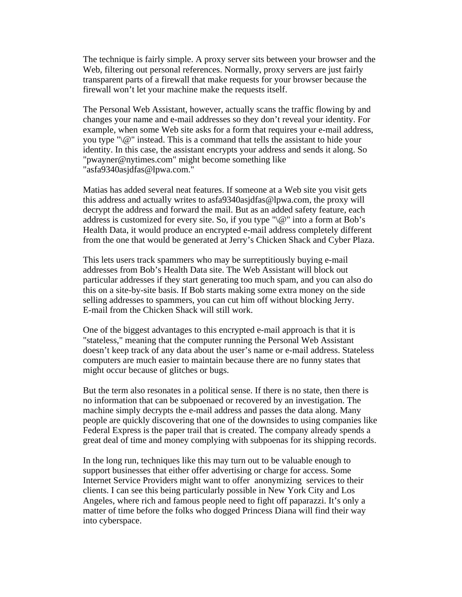The technique is fairly simple. A proxy server sits between your browser and the Web, filtering out personal references. Normally, proxy servers are just fairly transparent parts of a firewall that make requests for your browser because the firewall won't let your machine make the requests itself.

The Personal Web Assistant, however, actually scans the traffic flowing by and changes your name and e-mail addresses so they don't reveal your identity. For example, when some Web site asks for a form that requires your e-mail address, you type " $\mathcal{Q}$ " instead. This is a command that tells the assistant to hide your identity. In this case, the assistant encrypts your address and sends it along. So "pwayner@nytimes.com" might become something like "asfa9340asjdfas@lpwa.com."

Matias has added several neat features. If someone at a Web site you visit gets this address and actually writes to asfa9340asjdfas@lpwa.com, the proxy will decrypt the address and forward the mail. But as an added safety feature, each address is customized for every site. So, if you type "\@" into a form at Bob's Health Data, it would produce an encrypted e-mail address completely different from the one that would be generated at Jerry's Chicken Shack and Cyber Plaza.

This lets users track spammers who may be surreptitiously buying e-mail addresses from Bob's Health Data site. The Web Assistant will block out particular addresses if they start generating too much spam, and you can also do this on a site-by-site basis. If Bob starts making some extra money on the side selling addresses to spammers, you can cut him off without blocking Jerry. E-mail from the Chicken Shack will still work.

One of the biggest advantages to this encrypted e-mail approach is that it is "stateless," meaning that the computer running the Personal Web Assistant doesn't keep track of any data about the user's name or e-mail address. Stateless computers are much easier to maintain because there are no funny states that might occur because of glitches or bugs.

But the term also resonates in a political sense. If there is no state, then there is no information that can be subpoenaed or recovered by an investigation. The machine simply decrypts the e-mail address and passes the data along. Many people are quickly discovering that one of the downsides to using companies like Federal Express is the paper trail that is created. The company already spends a great deal of time and money complying with subpoenas for its shipping records.

In the long run, techniques like this may turn out to be valuable enough to support businesses that either offer advertising or charge for access. Some Internet Service Providers might want to offer anonymizing services to their clients. I can see this being particularly possible in New York City and Los Angeles, where rich and famous people need to fight off paparazzi. It's only a matter of time before the folks who dogged Princess Diana will find their way into cyberspace.